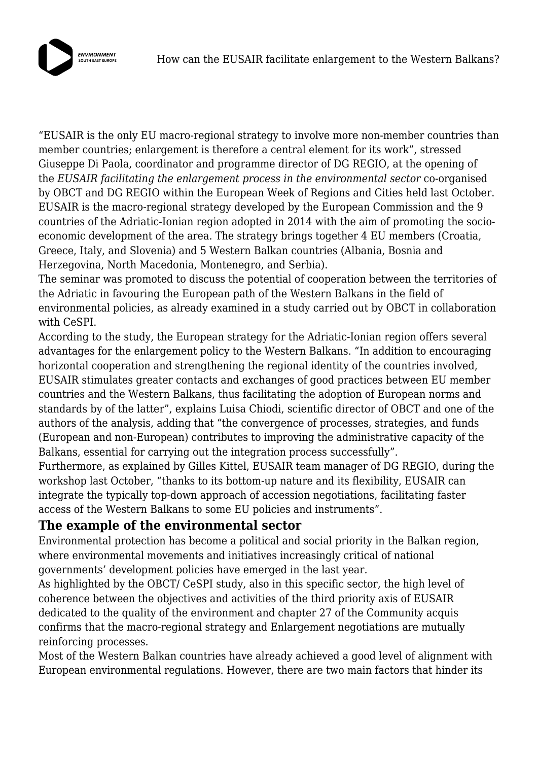

"EUSAIR is the only EU macro-regional strategy to involve more non-member countries than member countries; enlargement is therefore a central element for its work", stressed Giuseppe Di Paola, coordinator and programme director of DG REGIO, at the opening of the *EUSAIR facilitating the enlargement process in the environmental sector* co-organised by OBCT and DG REGIO within the European Week of Regions and Cities held last October. EUSAIR is the macro-regional strategy developed by the European Commission and the 9 countries of the Adriatic-Ionian region adopted in 2014 with the aim of promoting the socioeconomic development of the area. The strategy brings together 4 EU members (Croatia, Greece, Italy, and Slovenia) and 5 Western Balkan countries (Albania, Bosnia and Herzegovina, North Macedonia, Montenegro, and Serbia).

The seminar was promoted to discuss the potential of cooperation between the territories of the Adriatic in favouring the European path of the Western Balkans in the field of environmental policies, as already examined in a study carried out by OBCT in collaboration with CeSPI.

According to the study, the European strategy for the Adriatic-Ionian region offers several advantages for the enlargement policy to the Western Balkans. "In addition to encouraging horizontal cooperation and strengthening the regional identity of the countries involved, EUSAIR stimulates greater contacts and exchanges of good practices between EU member countries and the Western Balkans, thus facilitating the adoption of European norms and standards by of the latter", explains Luisa Chiodi, scientific director of OBCT and one of the authors of the analysis, adding that "the convergence of processes, strategies, and funds (European and non-European) contributes to improving the administrative capacity of the Balkans, essential for carrying out the integration process successfully".

Furthermore, as explained by Gilles Kittel, EUSAIR team manager of DG REGIO, during the workshop last October, "thanks to its bottom-up nature and its flexibility, EUSAIR can integrate the typically top-down approach of accession negotiations, facilitating faster access of the Western Balkans to some EU policies and instruments".

## **The example of the environmental sector**

Environmental protection has become a political and social priority in the Balkan region, where environmental movements and initiatives increasingly critical of national governments' development policies have emerged in the last year.

As highlighted by the OBCT/ CeSPI study, also in this specific sector, the high level of coherence between the objectives and activities of the third priority axis of EUSAIR dedicated to the quality of the environment and chapter 27 of the Community acquis confirms that the macro-regional strategy and Enlargement negotiations are mutually reinforcing processes.

Most of the Western Balkan countries have already achieved a good level of alignment with European environmental regulations. However, there are two main factors that hinder its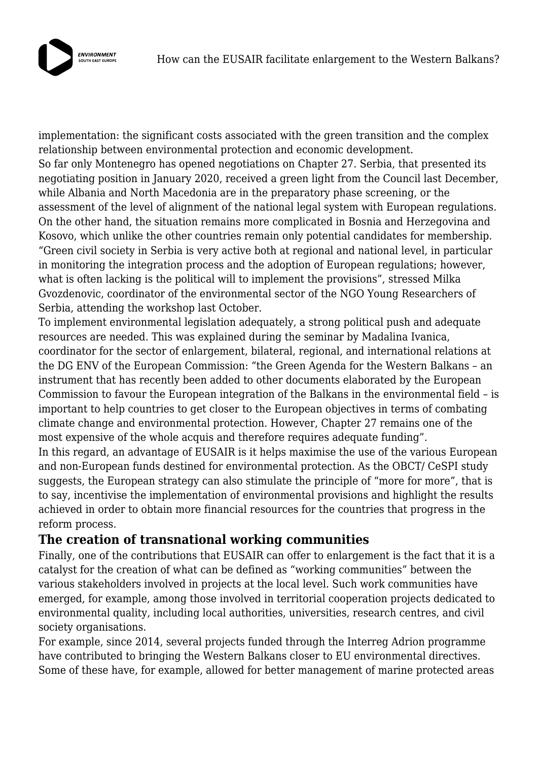

implementation: the significant costs associated with the green transition and the complex relationship between environmental protection and economic development. So far only Montenegro has opened negotiations on Chapter 27. Serbia, that presented its negotiating position in January 2020, received a green light from the Council last December, while Albania and North Macedonia are in the preparatory phase screening, or the assessment of the level of alignment of the national legal system with European regulations. On the other hand, the situation remains more complicated in Bosnia and Herzegovina and Kosovo, which unlike the other countries remain only potential candidates for membership. "Green civil society in Serbia is very active both at regional and national level, in particular in monitoring the integration process and the adoption of European regulations; however, what is often lacking is the political will to implement the provisions", stressed Milka Gvozdenovic, coordinator of the environmental sector of the NGO Young Researchers of Serbia, attending the workshop last October.

To implement environmental legislation adequately, a strong political push and adequate resources are needed. This was explained during the seminar by Madalina Ivanica, coordinator for the sector of enlargement, bilateral, regional, and international relations at the DG ENV of the European Commission: "the Green Agenda for the Western Balkans – an instrument that has recently been added to other documents elaborated by the European Commission to favour the European integration of the Balkans in the environmental field – is important to help countries to get closer to the European objectives in terms of combating climate change and environmental protection. However, Chapter 27 remains one of the most expensive of the whole acquis and therefore requires adequate funding". In this regard, an advantage of EUSAIR is it helps maximise the use of the various European

and non-European funds destined for environmental protection. As the OBCT/ CeSPI study suggests, the European strategy can also stimulate the principle of "more for more", that is to say, incentivise the implementation of environmental provisions and highlight the results achieved in order to obtain more financial resources for the countries that progress in the reform process.

## **The creation of transnational working communities**

Finally, one of the contributions that EUSAIR can offer to enlargement is the fact that it is a catalyst for the creation of what can be defined as "working communities" between the various stakeholders involved in projects at the local level. Such work communities have emerged, for example, among those involved in territorial cooperation projects dedicated to environmental quality, including local authorities, universities, research centres, and civil society organisations.

For example, since 2014, several projects funded through the Interreg Adrion programme have contributed to bringing the Western Balkans closer to EU environmental directives. Some of these have, for example, allowed for better management of marine protected areas